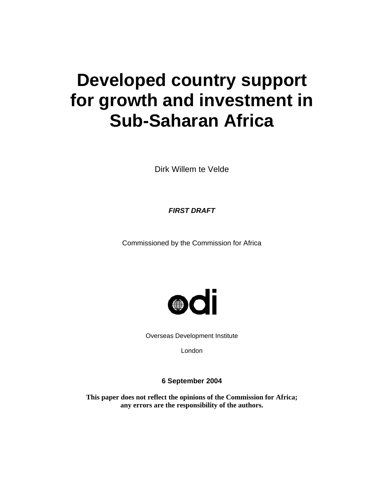# **Developed country support for growth and investment in Sub-Saharan Africa**

Dirk Willem te Velde

*FIRST DRAFT* 

Commissioned by the Commission for Africa



Overseas Development Institute

London

**6 September 2004** 

**This paper does not reflect the opinions of the Commission for Africa; any errors are the responsibility of the authors.**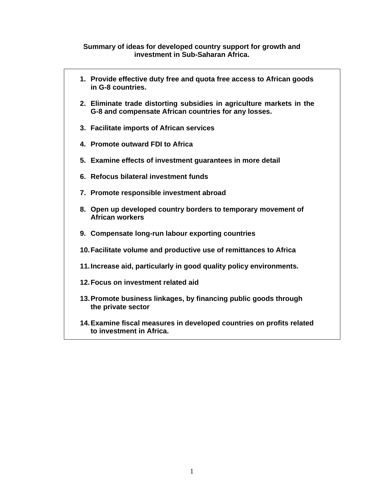## **Summary of ideas for developed country support for growth and investment in Sub-Saharan Africa.**

- **1. Provide effective duty free and quota free access to African goods in G-8 countries.**
- **2. Eliminate trade distorting subsidies in agriculture markets in the G-8 and compensate African countries for any losses.**
- **3. Facilitate imports of African services**
- **4. Promote outward FDI to Africa**
- **5. Examine effects of investment guarantees in more detail**
- **6. Refocus bilateral investment funds**
- **7. Promote responsible investment abroad**
- **8. Open up developed country borders to temporary movement of African workers**
- **9. Compensate long-run labour exporting countries**
- **10. Facilitate volume and productive use of remittances to Africa**
- **11. Increase aid, particularly in good quality policy environments.**
- **12. Focus on investment related aid**
- **13. Promote business linkages, by financing public goods through the private sector**
- **14. Examine fiscal measures in developed countries on profits related to investment in Africa.**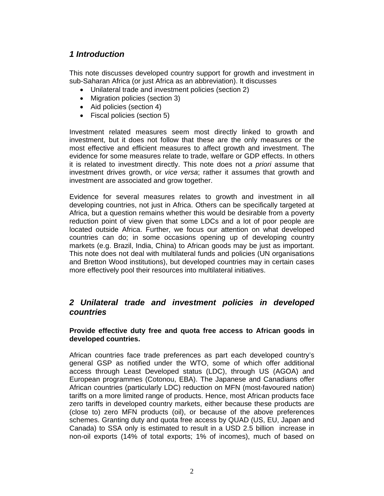# *1 Introduction*

This note discusses developed country support for growth and investment in sub-Saharan Africa (or just Africa as an abbreviation). It discusses

- Unilateral trade and investment policies (section 2)
- Migration policies (section 3)
- Aid policies (section 4)
- Fiscal policies (section 5)

Investment related measures seem most directly linked to growth and investment, but it does not follow that these are the only measures or the most effective and efficient measures to affect growth and investment. The evidence for some measures relate to trade, welfare or GDP effects. In others it is related to investment directly. This note does not *a priori* assume that investment drives growth, or *vice versa*; rather it assumes that growth and investment are associated and grow together.

Evidence for several measures relates to growth and investment in all developing countries, not just in Africa. Others can be specifically targeted at Africa, but a question remains whether this would be desirable from a poverty reduction point of view given that some LDCs and a lot of poor people are located outside Africa. Further, we focus our attention on what developed countries can do; in some occasions opening up of developing country markets (e.g. Brazil, India, China) to African goods may be just as important. This note does not deal with multilateral funds and policies (UN organisations and Bretton Wood institutions), but developed countries may in certain cases more effectively pool their resources into multilateral initiatives.

## *2 Unilateral trade and investment policies in developed countries*

## **Provide effective duty free and quota free access to African goods in developed countries.**

African countries face trade preferences as part each developed country's general GSP as notified under the WTO, some of which offer additional access through Least Developed status (LDC), through US (AGOA) and European programmes (Cotonou, EBA). The Japanese and Canadians offer African countries (particularly LDC) reduction on MFN (most-favoured nation) tariffs on a more limited range of products. Hence, most African products face zero tariffs in developed country markets, either because these products are (close to) zero MFN products (oil), or because of the above preferences schemes. Granting duty and quota free access by QUAD (US, EU, Japan and Canada) to SSA only is estimated to result in a USD 2.5 billion increase in non-oil exports (14% of total exports; 1% of incomes), much of based on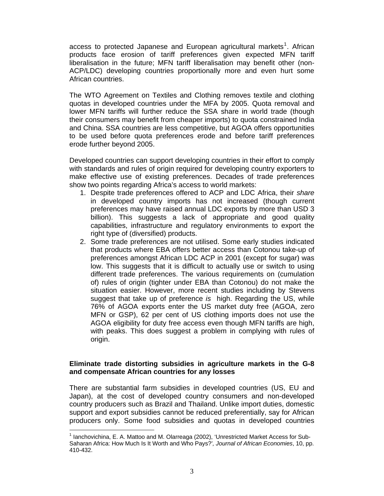access to protected Japanese and European agricultural markets<sup>1</sup>. African products face erosion of tariff preferences given expected MFN tariff liberalisation in the future; MFN tariff liberalisation may benefit other (non-ACP/LDC) developing countries proportionally more and even hurt some African countries.

The WTO Agreement on Textiles and Clothing removes textile and clothing quotas in developed countries under the MFA by 2005. Quota removal and lower MFN tariffs will further reduce the SSA share in world trade (though their consumers may benefit from cheaper imports) to quota constrained India and China. SSA countries are less competitive, but AGOA offers opportunities to be used before quota preferences erode and before tariff preferences erode further beyond 2005.

Developed countries can support developing countries in their effort to comply with standards and rules of origin required for developing country exporters to make effective use of existing preferences. Decades of trade preferences show two points regarding Africa's access to world markets:

- 1. Despite trade preferences offered to ACP and LDC Africa, their *share*  in developed country imports has not increased (though current preferences may have raised annual LDC exports by more than USD 3 billion). This suggests a lack of appropriate and good quality capabilities, infrastructure and regulatory environments to export the right type of (diversified) products.
- 2. Some trade preferences are not utilised. Some early studies indicated that products where EBA offers better access than Cotonou take-up of preferences amongst African LDC ACP in 2001 (except for sugar) was low. This suggests that it is difficult to actually use or switch to using different trade preferences. The various requirements on (cumulation of) rules of origin (tighter under EBA than Cotonou) do not make the situation easier. However, more recent studies including by Stevens suggest that take up of preference *is* high. Regarding the US, while 76% of AGOA exports enter the US market duty free (AGOA, zero MFN or GSP), 62 per cent of US clothing imports does not use the AGOA eligibility for duty free access even though MFN tariffs are high, with peaks. This does suggest a problem in complying with rules of origin.

## **Eliminate trade distorting subsidies in agriculture markets in the G-8 and compensate African countries for any losses**

There are substantial farm subsidies in developed countries (US, EU and Japan), at the cost of developed country consumers and non-developed country producers such as Brazil and Thailand. Unlike import duties, domestic support and export subsidies cannot be reduced preferentially, say for African producers only. Some food subsidies and quotas in developed countries

 <sup>1</sup> Ianchovichina, E. A. Mattoo and M. Olarreaga (2002), 'Unrestricted Market Access for Sub-Saharan Africa: How Much Is It Worth and Who Pays?'*, Journal of African Economies*, 10, pp. 410-432.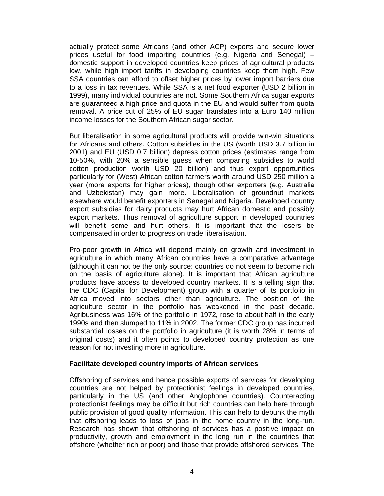actually protect some Africans (and other ACP) exports and secure lower prices useful for food importing countries (e.g. Nigeria and Senegal) – domestic support in developed countries keep prices of agricultural products low, while high import tariffs in developing countries keep them high. Few SSA countries can afford to offset higher prices by lower import barriers due to a loss in tax revenues. While SSA is a net food exporter (USD 2 billion in 1999), many individual countries are not. Some Southern Africa sugar exports are guaranteed a high price and quota in the EU and would suffer from quota removal. A price cut of 25% of EU sugar translates into a Euro 140 million income losses for the Southern African sugar sector.

But liberalisation in some agricultural products will provide win-win situations for Africans and others. Cotton subsidies in the US (worth USD 3.7 billion in 2001) and EU (USD 0.7 billion) depress cotton prices (estimates range from 10-50%, with 20% a sensible guess when comparing subsidies to world cotton production worth USD 20 billion) and thus export opportunities particularly for (West) African cotton farmers worth around USD 250 million a year (more exports for higher prices), though other exporters (e.g. Australia and Uzbekistan) may gain more. Liberalisation of groundnut markets elsewhere would benefit exporters in Senegal and Nigeria. Developed country export subsidies for dairy products may hurt African domestic and possibly export markets. Thus removal of agriculture support in developed countries will benefit some and hurt others. It is important that the losers be compensated in order to progress on trade liberalisation.

Pro-poor growth in Africa will depend mainly on growth and investment in agriculture in which many African countries have a comparative advantage (although it can not be the only source; countries do not seem to become rich on the basis of agriculture alone). It is important that African agriculture products have access to developed country markets. It is a telling sign that the CDC (Capital for Development) group with a quarter of its portfolio in Africa moved into sectors other than agriculture. The position of the agriculture sector in the portfolio has weakened in the past decade. Agribusiness was 16% of the portfolio in 1972, rose to about half in the early 1990s and then slumped to 11% in 2002. The former CDC group has incurred substantial losses on the portfolio in agriculture (it is worth 28% in terms of original costs) and it often points to developed country protection as one reason for not investing more in agriculture.

#### **Facilitate developed country imports of African services**

Offshoring of services and hence possible exports of services for developing countries are not helped by protectionist feelings in developed countries, particularly in the US (and other Anglophone countries). Counteracting protectionist feelings may be difficult but rich countries can help here through public provision of good quality information. This can help to debunk the myth that offshoring leads to loss of jobs in the home country in the long-run. Research has shown that offshoring of services has a positive impact on productivity, growth and employment in the long run in the countries that offshore (whether rich or poor) and those that provide offshored services. The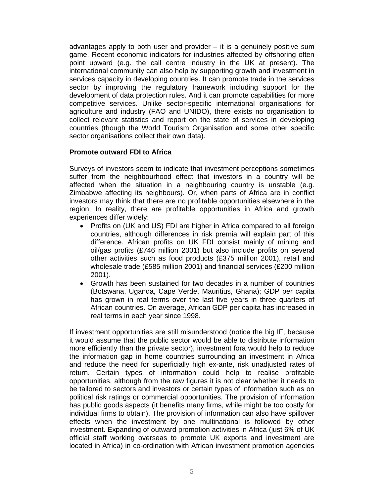advantages apply to both user and provider – it is a genuinely positive sum game. Recent economic indicators for industries affected by offshoring often point upward (e.g. the call centre industry in the UK at present). The international community can also help by supporting growth and investment in services capacity in developing countries. It can promote trade in the services sector by improving the regulatory framework including support for the development of data protection rules. And it can promote capabilities for more competitive services. Unlike sector-specific international organisations for agriculture and industry (FAO and UNIDO), there exists no organisation to collect relevant statistics and report on the state of services in developing countries (though the World Tourism Organisation and some other specific sector organisations collect their own data).

## **Promote outward FDI to Africa**

Surveys of investors seem to indicate that investment perceptions sometimes suffer from the neighbourhood effect that investors in a country will be affected when the situation in a neighbouring country is unstable (e.g. Zimbabwe affecting its neighbours). Or, when parts of Africa are in conflict investors may think that there are no profitable opportunities elsewhere in the region. In reality, there are profitable opportunities in Africa and growth experiences differ widely:

- Profits on (UK and US) FDI are higher in Africa compared to all foreign countries, although differences in risk premia will explain part of this difference. African profits on UK FDI consist mainly of mining and oil/gas profits (£746 million 2001) but also include profits on several other activities such as food products (£375 million 2001), retail and wholesale trade (£585 million 2001) and financial services (£200 million 2001).
- Growth has been sustained for two decades in a number of countries (Botswana, Uganda, Cape Verde, Mauritius, Ghana); GDP per capita has grown in real terms over the last five years in three quarters of African countries. On average, African GDP per capita has increased in real terms in each year since 1998.

If investment opportunities are still misunderstood (notice the big IF, because it would assume that the public sector would be able to distribute information more efficiently than the private sector), investment fora would help to reduce the information gap in home countries surrounding an investment in Africa and reduce the need for superficially high ex-ante, risk unadjusted rates of return. Certain types of information could help to realise profitable opportunities, although from the raw figures it is not clear whether it needs to be tailored to sectors and investors or certain types of information such as on political risk ratings or commercial opportunities. The provision of information has public goods aspects (it benefits many firms, while might be too costly for individual firms to obtain). The provision of information can also have spillover effects when the investment by one multinational is followed by other investment. Expanding of outward promotion activities in Africa (just 6% of UK official staff working overseas to promote UK exports and investment are located in Africa) in co-ordination with African investment promotion agencies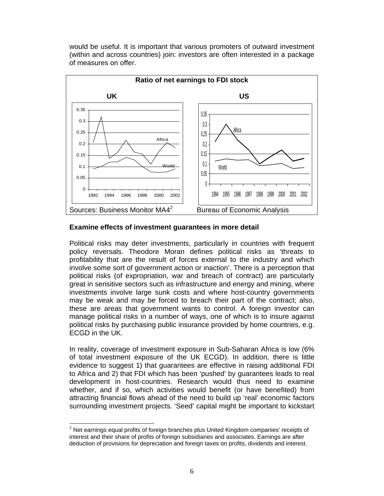would be useful. It is important that various promoters of outward investment (within and across countries) join: investors are often interested in a package of measures on offer.



## **Examine effects of investment guarantees in more detail**

Political risks may deter investments, particularly in countries with frequent policy reversals. Theodore Moran defines political risks as 'threats to profitability that are the result of forces external to the industry and which involve some sort of government action or inaction'. There is a perception that political risks (of expropriation, war and breach of contract) are particularly great in sensitive sectors such as infrastructure and energy and mining, where investments involve large sunk costs and where host-country governments may be weak and may be forced to breach their part of the contract; also, these are areas that government wants to control. A foreign investor can manage political risks in a number of ways, one of which is to insure against political risks by purchasing public insurance provided by home countries, e.g. ECGD in the UK.

In reality, coverage of investment exposure in Sub-Saharan Africa is low (6% of total investment exposure of the UK ECGD). In addition, there is little evidence to suggest 1) that guarantees are effective in raising additional FDI to Africa and 2) that FDI which has been 'pushed' by guarantees leads to real development in host-countries. Research would thus need to examine whether, and if so, which activities would benefit (or have benefited) from attracting financial flows ahead of the need to build up 'real' economic factors surrounding investment projects. 'Seed' capital might be important to kickstart

 $\overline{a}$  $2$  Net earnings equal profits of foreign branches plus United Kingdom companies' receipts of interest and their share of profits of foreign subsidiaries and associates. Earnings are after deduction of provisions for depreciation and foreign taxes on profits, dividends and interest.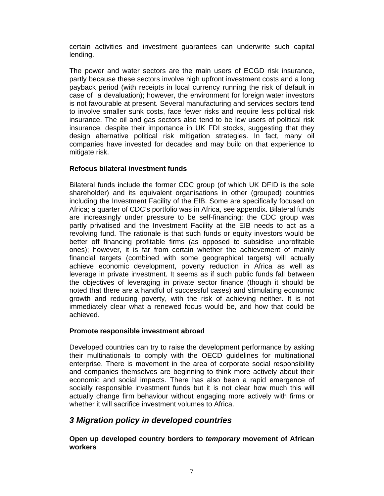certain activities and investment guarantees can underwrite such capital lending.

The power and water sectors are the main users of ECGD risk insurance, partly because these sectors involve high upfront investment costs and a long payback period (with receipts in local currency running the risk of default in case of a devaluation); however, the environment for foreign water investors is not favourable at present. Several manufacturing and services sectors tend to involve smaller sunk costs, face fewer risks and require less political risk insurance. The oil and gas sectors also tend to be low users of political risk insurance, despite their importance in UK FDI stocks, suggesting that they design alternative political risk mitigation strategies. In fact, many oil companies have invested for decades and may build on that experience to mitigate risk.

## **Refocus bilateral investment funds**

Bilateral funds include the former CDC group (of which UK DFID is the sole shareholder) and its equivalent organisations in other (grouped) countries including the Investment Facility of the EIB. Some are specifically focused on Africa; a quarter of CDC's portfolio was in Africa, see appendix. Bilateral funds are increasingly under pressure to be self-financing: the CDC group was partly privatised and the Investment Facility at the EIB needs to act as a revolving fund. The rationale is that such funds or equity investors would be better off financing profitable firms (as opposed to subsidise unprofitable ones); however, it is far from certain whether the achievement of mainly financial targets (combined with some geographical targets) will actually achieve economic development, poverty reduction in Africa as well as leverage in private investment. It seems as if such public funds fall between the objectives of leveraging in private sector finance (though it should be noted that there are a handful of successful cases) and stimulating economic growth and reducing poverty, with the risk of achieving neither. It is not immediately clear what a renewed focus would be, and how that could be achieved.

## **Promote responsible investment abroad**

Developed countries can try to raise the development performance by asking their multinationals to comply with the OECD guidelines for multinational enterprise. There is movement in the area of corporate social responsibility and companies themselves are beginning to think more actively about their economic and social impacts. There has also been a rapid emergence of socially responsible investment funds but it is not clear how much this will actually change firm behaviour without engaging more actively with firms or whether it will sacrifice investment volumes to Africa.

## *3 Migration policy in developed countries*

**Open up developed country borders to** *temporary* **movement of African workers**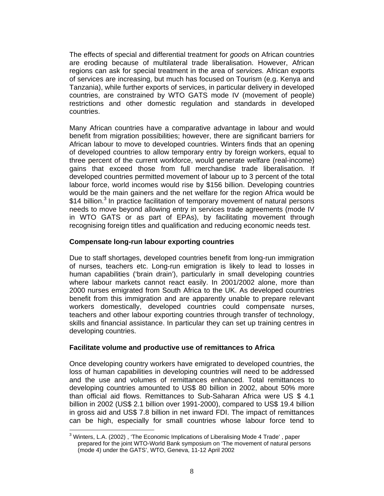The effects of special and differential treatment for *goods* on African countries are eroding because of multilateral trade liberalisation. However, African regions can ask for special treatment in the area of *services.* African exports of services are increasing, but much has focused on Tourism (e.g. Kenya and Tanzania), while further exports of services, in particular delivery in developed countries, are constrained by WTO GATS mode IV (movement of people) restrictions and other domestic regulation and standards in developed countries.

Many African countries have a comparative advantage in labour and would benefit from migration possibilities; however, there are significant barriers for African labour to move to developed countries. Winters finds that an opening of developed countries to allow temporary entry by foreign workers, equal to three percent of the current workforce, would generate welfare (real-income) gains that exceed those from full merchandise trade liberalisation. If developed countries permitted movement of labour up to 3 percent of the total labour force, world incomes would rise by \$156 billion. Developing countries would be the main gainers and the net welfare for the region Africa would be \$14 billion.<sup>3</sup> In practice facilitation of temporary movement of natural persons needs to move beyond allowing entry in services trade agreements (mode IV in WTO GATS or as part of EPAs), by facilitating movement through recognising foreign titles and qualification and reducing economic needs test.

#### **Compensate long-run labour exporting countries**

Due to staff shortages, developed countries benefit from long-run immigration of nurses, teachers etc. Long-run emigration is likely to lead to losses in human capabilities ('brain drain'), particularly in small developing countries where labour markets cannot react easily. In 2001/2002 alone, more than 2000 nurses emigrated from South Africa to the UK. As developed countries benefit from this immigration and are apparently unable to prepare relevant workers domestically, developed countries could compensate nurses, teachers and other labour exporting countries through transfer of technology, skills and financial assistance. In particular they can set up training centres in developing countries.

#### **Facilitate volume and productive use of remittances to Africa**

Once developing country workers have emigrated to developed countries, the loss of human capabilities in developing countries will need to be addressed and the use and volumes of remittances enhanced. Total remittances to developing countries amounted to US\$ 80 billion in 2002, about 50% more than official aid flows. Remittances to Sub-Saharan Africa were US \$ 4.1 billion in 2002 (US\$ 2.1 billion over 1991-2000), compared to US\$ 19.4 billion in gross aid and US\$ 7.8 billion in net inward FDI. The impact of remittances can be high, especially for small countries whose labour force tend to

 <sup>3</sup> Winters, L.A. (2002), 'The Economic Implications of Liberalising Mode 4 Trade', paper prepared for the joint WTO-World Bank symposium on 'The movement of natural persons (mode 4) under the GATS', WTO, Geneva, 11-12 April 2002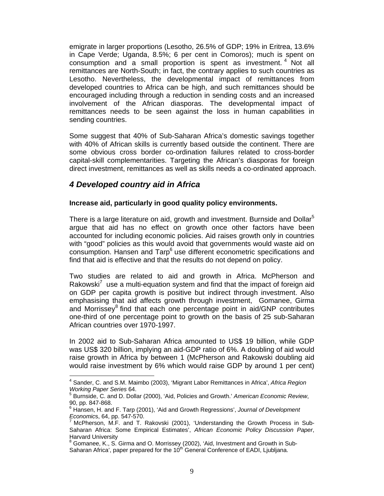emigrate in larger proportions (Lesotho, 26.5% of GDP; 19% in Eritrea, 13.6% in Cape Verde; Uganda, 8.5%; 6 per cent in Comoros); much is spent on consumption and a small proportion is spent as investment.<sup>4</sup> Not all remittances are North-South; in fact, the contrary applies to such countries as Lesotho. Nevertheless, the developmental impact of remittances from developed countries to Africa can be high, and such remittances should be encouraged including through a reduction in sending costs and an increased involvement of the African diasporas. The developmental impact of remittances needs to be seen against the loss in human capabilities in sending countries.

Some suggest that 40% of Sub-Saharan Africa's domestic savings together with 40% of African skills is currently based outside the continent. There are some obvious cross border co-ordination failures related to cross-border capital-skill complementarities. Targeting the African's diasporas for foreign direct investment, remittances as well as skills needs a co-ordinated approach.

## *4 Developed country aid in Africa*

 $\overline{a}$ 

#### **Increase aid, particularly in good quality policy environments.**

There is a large literature on aid, growth and investment. Burnside and Dollar<sup>5</sup> argue that aid has no effect on growth once other factors have been accounted for including economic policies. Aid raises growth only in countries with "good" policies as this would avoid that governments would waste aid on consumption. Hansen and Tarp<sup>6</sup> use different econometric specifications and find that aid is effective and that the results do not depend on policy.

Two studies are related to aid and growth in Africa. McPherson and Rakowski<sup>7</sup> use a multi-equation system and find that the impact of foreign aid on GDP per capita growth is positive but indirect through investment. Also emphasising that aid affects growth through investment, Gomanee, Girma and Morrissey<sup>8</sup> find that each one percentage point in aid/GNP contributes one-third of one percentage point to growth on the basis of 25 sub-Saharan African countries over 1970-1997.

In 2002 aid to Sub-Saharan Africa amounted to US\$ 19 billion, while GDP was US\$ 320 billion, implying an aid-GDP ratio of 6%. A doubling of aid would raise growth in Africa by between 1 (McPherson and Rakowski doubling aid would raise investment by 6% which would raise GDP by around 1 per cent)

<sup>4</sup> Sander, C. and S.M. Maimbo (2003), 'Migrant Labor Remittances in Africa', *Africa Region Working Paper Series 64.* 

<sup>&</sup>lt;sup>5</sup> Burnside, C. and D. Dollar (2000), 'Aid, Policies and Growth.' American Economic Review, 90, pp. 847-868.

<sup>6</sup> Hansen, H. and F. Tarp (2001), 'Aid and Growth Regressions', *Journal of Development Economics*, 64, pp. 547-570.

McPherson, M.F. and T. Rakovski (2001), 'Understanding the Growth Process in Sub-Saharan Africa: Some Empirical Estimates', *African Economic Policy Discussion Paper*, Harvard University

<sup>8</sup> Gomanee, K., S. Girma and O. Morrissey (2002), 'Aid, Investment and Growth in Sub-Saharan Africa', paper prepared for the 10<sup>th</sup> General Conference of EADI, Ljubljana.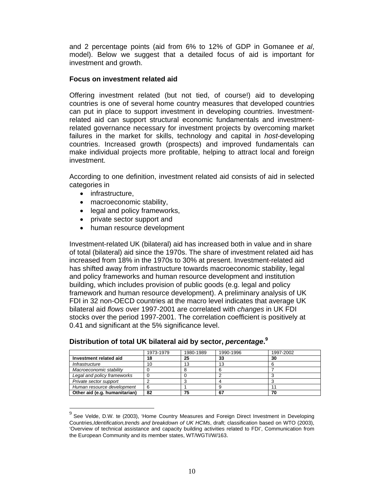and 2 percentage points (aid from 6% to 12% of GDP in Gomanee *et al*, model). Below we suggest that a detailed focus of aid is important for investment and growth.

### **Focus on investment related aid**

Offering investment related (but not tied, of course!) aid to developing countries is one of several home country measures that developed countries can put in place to support investment in developing countries. Investmentrelated aid can support structural economic fundamentals and investmentrelated governance necessary for investment projects by overcoming market failures in the market for skills, technology and capital in *host*-developing countries. Increased growth (prospects) and improved fundamentals can make individual projects more profitable, helping to attract local and foreign investment.

According to one definition, investment related aid consists of aid in selected categories in

• infrastructure,

 $\overline{\phantom{a}}$ 

- macroeconomic stability,
- legal and policy frameworks,
- private sector support and
- human resource development

Investment-related UK (bilateral) aid has increased both in value and in share of total (bilateral) aid since the 1970s. The share of investment related aid has increased from 18% in the 1970s to 30% at present. Investment-related aid has shifted away from infrastructure towards macroeconomic stability, legal and policy frameworks and human resource development and institution building, which includes provision of public goods (e.g. legal and policy framework and human resource development). A preliminary analysis of UK FDI in 32 non-OECD countries at the macro level indicates that average UK bilateral aid *flows* over 1997-2001 are correlated with *changes* in UK FDI stocks over the period 1997-2001. The correlation coefficient is positively at 0.41 and significant at the 5% significance level.

|                               | 1973-1979 | 1980-1989 | 1990-1996 | 1997-2002 |
|-------------------------------|-----------|-----------|-----------|-----------|
| Investment related aid        | 18        | 25        | 33        | 30        |
| Infrastructure                | 10        | 13        | 13        |           |
| Macroeconomic stability       |           |           |           |           |
| Legal and policy frameworks   |           |           |           |           |
| Private sector support        |           |           |           |           |
| Human resource development    |           |           |           |           |
| Other aid (e.g. humanitarian) | 82        | ю         | 67        | 70        |

**Distribution of total UK bilateral aid by sector,** *percentage***. 9**

See Velde, D.W. te (2003), 'Home Country Measures and Foreign Direct Investment in Developing Countries,*Identification,trends and breakdown of UK HCMs*, draft; classification based on WTO (2003), 'Overview of technical assistance and capacity building activities related to FDI', Communication from the European Community and its member states, WT/WGTI/W/163.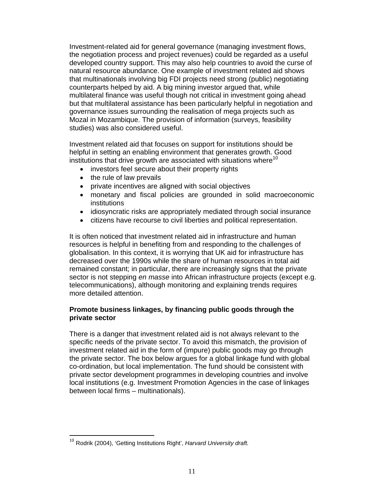Investment-related aid for general governance (managing investment flows, the negotiation process and project revenues) could be regarded as a useful developed country support. This may also help countries to avoid the curse of natural resource abundance. One example of investment related aid shows that multinationals involving big FDI projects need strong (public) negotiating counterparts helped by aid. A big mining investor argued that, while multilateral finance was useful though not critical in investment going ahead but that multilateral assistance has been particularly helpful in negotiation and governance issues surrounding the realisation of mega projects such as Mozal in Mozambique. The provision of information (surveys, feasibility studies) was also considered useful.

Investment related aid that focuses on support for institutions should be helpful in setting an enabling environment that generates growth. Good institutions that drive growth are associated with situations where<sup>10</sup>

- investors feel secure about their property rights
- the rule of law prevails
- private incentives are aligned with social objectives
- monetary and fiscal policies are grounded in solid macroeconomic institutions
- idiosyncratic risks are appropriately mediated through social insurance
- citizens have recourse to civil liberties and political representation.

It is often noticed that investment related aid in infrastructure and human resources is helpful in benefiting from and responding to the challenges of globalisation. In this context, it is worrying that UK aid for infrastructure has decreased over the 1990s while the share of human resources in total aid remained constant; in particular, there are increasingly signs that the private sector is not stepping *en masse* into African infrastructure projects (except e.g. telecommunications), although monitoring and explaining trends requires more detailed attention.

## **Promote business linkages, by financing public goods through the private sector**

There is a danger that investment related aid is not always relevant to the specific needs of the private sector. To avoid this mismatch, the provision of investment related aid in the form of (impure) public goods may go through the private sector. The box below argues for a global linkage fund with global co-ordination, but local implementation. The fund should be consistent with private sector development programmes in developing countries and involve local institutions (e.g. Investment Promotion Agencies in the case of linkages between local firms – multinationals).

 $\overline{a}$ 

<sup>10</sup> Rodrik (2004), 'Getting Institutions Right', *Harvard University draft.*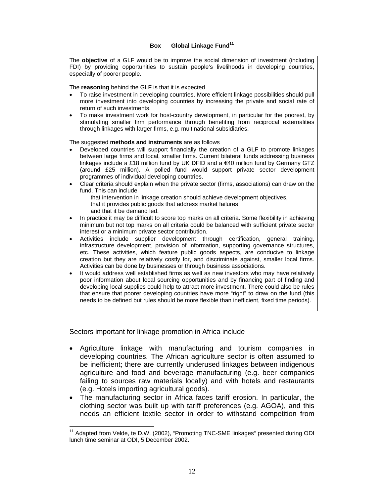#### **Box** Global Linkage Fund<sup>11</sup>

The **objective** of a GLF would be to improve the social dimension of investment (including FDI) by providing opportunities to sustain people's livelihoods in developing countries, especially of poorer people.

The **reasoning** behind the GLF is that it is expected

- To raise investment in developing countries. More efficient linkage possibilities should pull more investment into developing countries by increasing the private and social rate of return of such investments.
- To make investment work for host-country development, in particular for the poorest, by stimulating smaller firm performance through benefiting from reciprocal externalities through linkages with larger firms, e.g. multinational subsidiaries.

The suggested **methods and instruments** are as follows

- Developed countries will support financially the creation of a GLF to promote linkages between large firms and local, smaller firms. Current bilateral funds addressing business linkages include a £18 million fund by UK DFID and a €40 million fund by Germany GTZ (around £25 million). A polled fund would support private sector development programmes of individual developing countries.
- Clear criteria should explain when the private sector (firms, associations) can draw on the fund. This can include

that intervention in linkage creation should achieve development objectives, that it provides public goods that address market failures

and that it be demand led.

- In practice it may be difficult to score top marks on all criteria. Some flexibility in achieving minimum but not top marks on all criteria could be balanced with sufficient private sector interest or a minimum private sector contribution.
- Activities include supplier development through certification, general training, infrastructure development, provision of information, supporting governance structures, etc. These activities, which feature public goods aspects, are conducive to linkage creation but they are relatively costly for, and discriminate against, smaller local firms. Activities can be done by businesses or through business associations.
- It would address well established firms as well as new investors who may have relatively poor information about local sourcing opportunities and by financing part of finding and developing local supplies could help to attract more investment. There could also be rules that ensure that poorer developing countries have more "right" to draw on the fund (this needs to be defined but rules should be more flexible than inefficient, fixed time periods).

Sectors important for linkage promotion in Africa include

- Agriculture linkage with manufacturing and tourism companies in developing countries. The African agriculture sector is often assumed to be inefficient; there are currently underused linkages between indigenous agriculture and food and beverage manufacturing (e.g. beer companies failing to sources raw materials locally) and with hotels and restaurants (e.g. Hotels importing agricultural goods).
- The manufacturing sector in Africa faces tariff erosion. In particular, the clothing sector was built up with tariff preferences (e.g. AGOA), and this needs an efficient textile sector in order to withstand competition from

 <sup>11</sup> Adapted from Velde, te D.W. (2002), "Promoting TNC-SME linkages" presented during ODI lunch time seminar at ODI, 5 December 2002.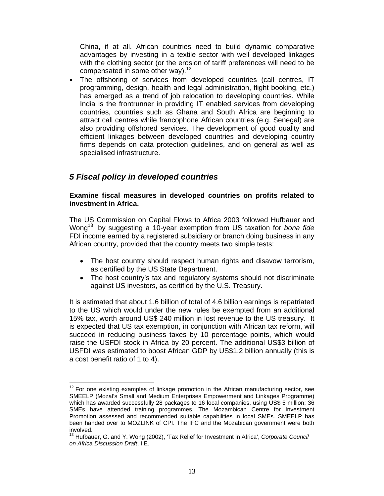China, if at all. African countries need to build dynamic comparative advantages by investing in a textile sector with well developed linkages with the clothing sector (or the erosion of tariff preferences will need to be compensated in some other way). $12$ 

The offshoring of services from developed countries (call centres, IT programming, design, health and legal administration, flight booking, etc.) has emerged as a trend of job relocation to developing countries. While India is the frontrunner in providing IT enabled services from developing countries, countries such as Ghana and South Africa are beginning to attract call centres while francophone African countries (e.g. Senegal) are also providing offshored services. The development of good quality and efficient linkages between developed countries and developing country firms depends on data protection guidelines, and on general as well as specialised infrastructure.

## *5 Fiscal policy in developed countries*

 $\overline{a}$ 

### **Examine fiscal measures in developed countries on profits related to investment in Africa.**

The US Commission on Capital Flows to Africa 2003 followed Hufbauer and Wong13 by suggesting a 10-year exemption from US taxation for *bona fide* FDI income earned by a registered subsidiary or branch doing business in any African country, provided that the country meets two simple tests:

- The host country should respect human rights and disavow terrorism, as certified by the US State Department.
- The host country's tax and regulatory systems should not discriminate against US investors, as certified by the U.S. Treasury.

It is estimated that about 1.6 billion of total of 4.6 billion earnings is repatriated to the US which would under the new rules be exempted from an additional 15% tax, worth around US\$ 240 million in lost revenue to the US treasury. It is expected that US tax exemption, in conjunction with African tax reform, will succeed in reducing business taxes by 10 percentage points, which would raise the USFDI stock in Africa by 20 percent. The additional US\$3 billion of USFDI was estimated to boost African GDP by US\$1.2 billion annually (this is a cost benefit ratio of 1 to 4).

 $12$  For one existing examples of linkage promotion in the African manufacturing sector, see SMEELP (Mozal's Small and Medium Enterprises Empowerment and Linkages Programme) which has awarded successfully 28 packages to 16 local companies, using US\$ 5 million; 36 SMEs have attended training programmes. The Mozambican Centre for Investment Promotion assessed and recommended suitable capabilities in local SMEs. SMEELP has been handed over to MOZLINK of CPI. The IFC and the Mozabican government were both involved.

<sup>13</sup> Hufbauer, G. and Y. Wong (2002), 'Tax Relief for Investment in Africa', *Corporate Council on Africa Discussion Draft*, IIE.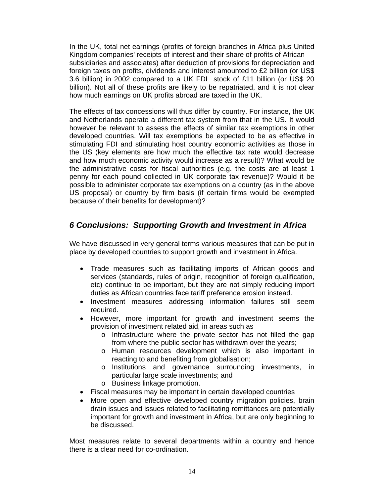In the UK, total net earnings (profits of foreign branches in Africa plus United Kingdom companies' receipts of interest and their share of profits of African subsidiaries and associates) after deduction of provisions for depreciation and foreign taxes on profits, dividends and interest amounted to £2 billion (or US\$ 3.6 billion) in 2002 compared to a UK FDI stock of £11 billion (or US\$ 20 billion). Not all of these profits are likely to be repatriated, and it is not clear how much earnings on UK profits abroad are taxed in the UK.

The effects of tax concessions will thus differ by country. For instance, the UK and Netherlands operate a different tax system from that in the US. It would however be relevant to assess the effects of similar tax exemptions in other developed countries. Will tax exemptions be expected to be as effective in stimulating FDI and stimulating host country economic activities as those in the US (key elements are how much the effective tax rate would decrease and how much economic activity would increase as a result)? What would be the administrative costs for fiscal authorities (e.g. the costs are at least 1 penny for each pound collected in UK corporate tax revenue)? Would it be possible to administer corporate tax exemptions on a country (as in the above US proposal) or country by firm basis (if certain firms would be exempted because of their benefits for development)?

# *6 Conclusions: Supporting Growth and Investment in Africa*

We have discussed in very general terms various measures that can be put in place by developed countries to support growth and investment in Africa.

- Trade measures such as facilitating imports of African goods and services (standards, rules of origin, recognition of foreign qualification, etc) continue to be important, but they are not simply reducing import duties as African countries face tariff preference erosion instead.
- Investment measures addressing information failures still seem required.
- However, more important for growth and investment seems the provision of investment related aid, in areas such as
	- o Infrastructure where the private sector has not filled the gap from where the public sector has withdrawn over the years;
	- o Human resources development which is also important in reacting to and benefiting from globalisation;
	- o Institutions and governance surrounding investments, in particular large scale investments; and
	- o Business linkage promotion.
- Fiscal measures may be important in certain developed countries
- More open and effective developed country migration policies, brain drain issues and issues related to facilitating remittances are potentially important for growth and investment in Africa, but are only beginning to be discussed.

Most measures relate to several departments within a country and hence there is a clear need for co-ordination.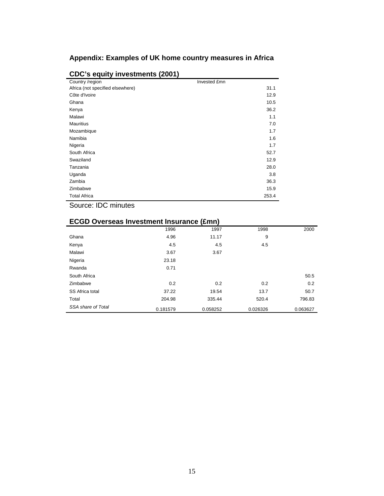## **Appendix: Examples of UK home country measures in Africa**

| Country /region                  | Invested £mn |  |
|----------------------------------|--------------|--|
| Africa (not specified elsewhere) | 31.1         |  |
| Côte d'Ivoire                    | 12.9         |  |
| Ghana                            | 10.5         |  |
| Kenya                            | 36.2         |  |
| Malawi                           | 1.1          |  |
| <b>Mauritius</b>                 | 7.0          |  |
| Mozambique                       | 1.7          |  |
| Namibia                          | 1.6          |  |
| Nigeria                          | 1.7          |  |
| South Africa                     | 52.7         |  |
| Swaziland                        | 12.9         |  |
| Tanzania                         | 28.0         |  |
| Uganda                           | 3.8          |  |
| Zambia                           | 36.3         |  |
| Zimbabwe                         | 15.9         |  |
| <b>Total Africa</b>              | 253.4        |  |

## **CDC's equity investments (2001)**

Source: IDC minutes

|                    | 1996     | 1997     | 1998     | 2000     |
|--------------------|----------|----------|----------|----------|
| Ghana              | 4.96     | 11.17    | 9        |          |
| Kenya              | 4.5      | 4.5      | 4.5      |          |
| Malawi             | 3.67     | 3.67     |          |          |
| Nigeria            | 23.18    |          |          |          |
| Rwanda             | 0.71     |          |          |          |
| South Africa       |          |          |          | 50.5     |
| Zimbabwe           | 0.2      | 0.2      | 0.2      | 0.2      |
| SS Africa total    | 37.22    | 19.54    | 13.7     | 50.7     |
| Total              | 204.98   | 335.44   | 520.4    | 796.83   |
| SSA share of Total | 0.181579 | 0.058252 | 0.026326 | 0.063627 |